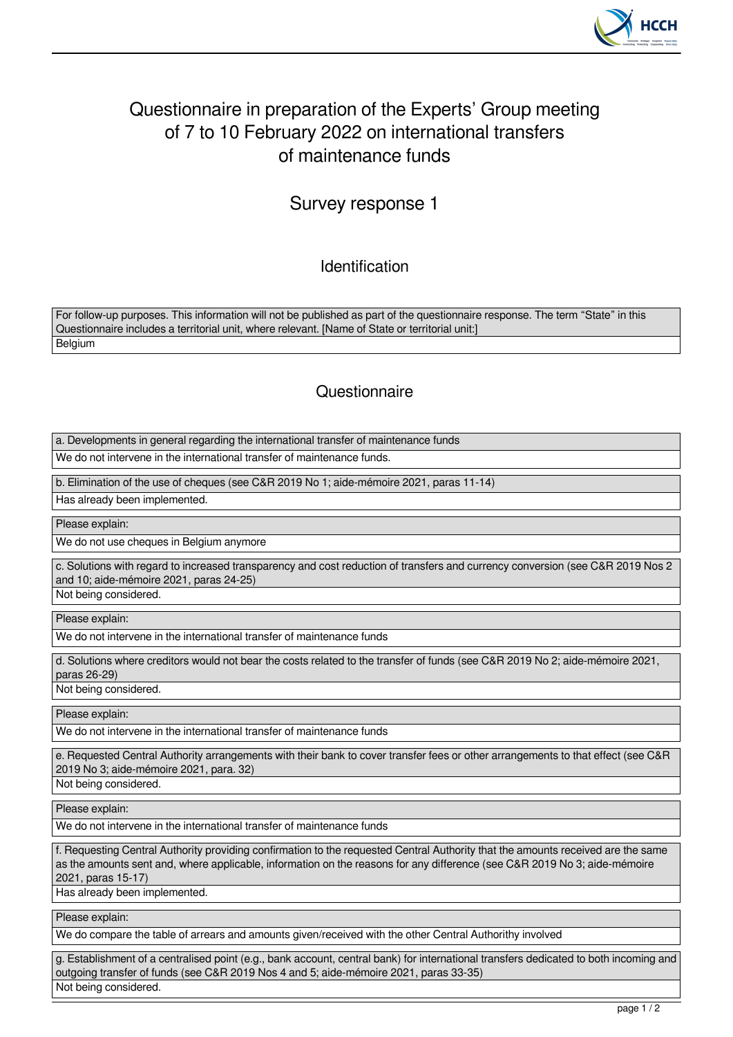

## Questionnaire in preparation of the Experts' Group meeting of 7 to 10 February 2022 on international transfers of maintenance funds

## Survey response 1

Identification

For follow-up purposes. This information will not be published as part of the questionnaire response. The term "State" in this Questionnaire includes a territorial unit, where relevant. [Name of State or territorial unit:] **Belgium** 

## **Questionnaire**

a. Developments in general regarding the international transfer of maintenance funds

We do not intervene in the international transfer of maintenance funds.

b. Elimination of the use of cheques (see C&R 2019 No 1; aide-mémoire 2021, paras 11-14)

Has already been implemented.

Please explain:

We do not use cheques in Belgium anymore

c. Solutions with regard to increased transparency and cost reduction of transfers and currency conversion (see C&R 2019 Nos 2 and 10; aide-mémoire 2021, paras 24-25)

Not being considered.

Please explain:

We do not intervene in the international transfer of maintenance funds

d. Solutions where creditors would not bear the costs related to the transfer of funds (see C&R 2019 No 2; aide-mémoire 2021, paras 26-29)

Not being considered.

Please explain:

We do not intervene in the international transfer of maintenance funds

e. Requested Central Authority arrangements with their bank to cover transfer fees or other arrangements to that effect (see C&R 2019 No 3; aide-mémoire 2021, para. 32)

Not being considered.

Please explain:

We do not intervene in the international transfer of maintenance funds

f. Requesting Central Authority providing confirmation to the requested Central Authority that the amounts received are the same as the amounts sent and, where applicable, information on the reasons for any difference (see C&R 2019 No 3; aide-mémoire 2021, paras 15-17)

Has already been implemented.

Please explain:

We do compare the table of arrears and amounts given/received with the other Central Authorithy involved

g. Establishment of a centralised point (e.g., bank account, central bank) for international transfers dedicated to both incoming and outgoing transfer of funds (see C&R 2019 Nos 4 and 5; aide-mémoire 2021, paras 33-35) Not being considered.